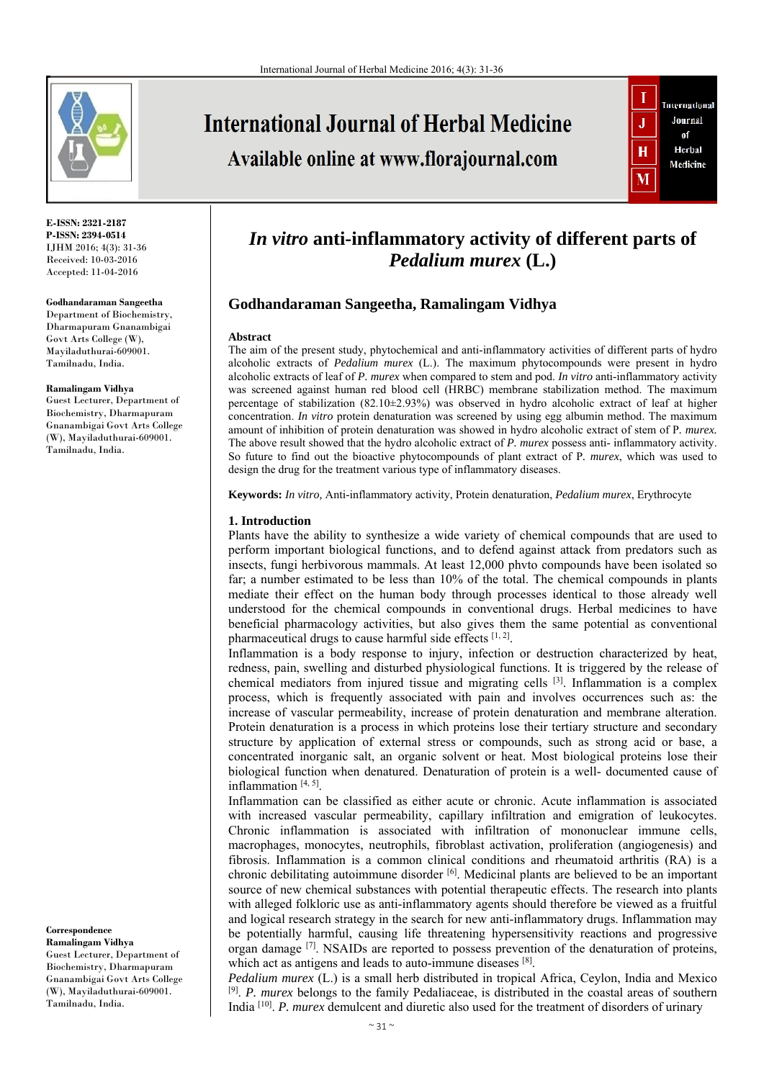

**E-ISSN: 2321-2187 P-ISSN: 2394-0514**  IJHM 2016; 4(3): 31-36 Received: 10-03-2016 Accepted: 11-04-2016

#### **Godhandaraman Sangeetha**

Department of Biochemistry, Dharmapuram Gnanambigai Govt Arts College (W), Mayiladuthurai-609001. Tamilnadu, India.

#### **Ramalingam Vidhya**

Guest Lecturer, Department of Biochemistry, Dharmapuram Gnanambigai Govt Arts College (W), Mayiladuthurai-609001. Tamilnadu, India.

**Correspondence Ramalingam Vidhya**  Guest Lecturer, Department of Biochemistry, Dharmapuram Gnanambigai Govt Arts College (W), Mayiladuthurai-609001. Tamilnadu, India.

**International Journal of Herbal Medicine** Available online at www.florajournal.com



# *In vitro* **anti-inflammatory activity of different parts of**  *Pedalium murex* **(L.)**

### **Godhandaraman Sangeetha, Ramalingam Vidhya**

#### **Abstract**

The aim of the present study, phytochemical and anti-inflammatory activities of different parts of hydro alcoholic extracts of *Pedalium murex* (L.). The maximum phytocompounds were present in hydro alcoholic extracts of leaf of *P. murex* when compared to stem and pod. *In vitro* anti-inflammatory activity was screened against human red blood cell (HRBC) membrane stabilization method. The maximum percentage of stabilization (82.10±2.93%) was observed in hydro alcoholic extract of leaf at higher concentration. *In vitro* protein denaturation was screened by using egg albumin method. The maximum amount of inhibition of protein denaturation was showed in hydro alcoholic extract of stem of P*. murex.*  The above result showed that the hydro alcoholic extract of *P. murex* possess anti- inflammatory activity. So future to find out the bioactive phytocompounds of plant extract of P*. murex*, which was used to design the drug for the treatment various type of inflammatory diseases.

**Keywords:** *In vitro,* Anti-inflammatory activity, Protein denaturation, *Pedalium murex*, Erythrocyte

#### **1. Introduction**

Plants have the ability to synthesize a wide variety of chemical compounds that are used to perform important biological functions, and to defend against attack from predators such as insects, fungi herbivorous mammals. At least 12,000 phvto compounds have been isolated so far; a number estimated to be less than 10% of the total. The chemical compounds in plants mediate their effect on the human body through processes identical to those already well understood for the chemical compounds in conventional drugs. Herbal medicines to have beneficial pharmacology activities, but also gives them the same potential as conventional pharmaceutical drugs to cause harmful side effects [1, 2].

Inflammation is a body response to injury, infection or destruction characterized by heat, redness, pain, swelling and disturbed physiological functions. It is triggered by the release of chemical mediators from injured tissue and migrating cells  $[3]$ . Inflammation is a complex process, which is frequently associated with pain and involves occurrences such as: the increase of vascular permeability, increase of protein denaturation and membrane alteration. Protein denaturation is a process in which proteins lose their tertiary structure and secondary structure by application of external stress or compounds, such as strong acid or base, a concentrated inorganic salt, an organic solvent or heat. Most biological proteins lose their biological function when denatured. Denaturation of protein is a well- documented cause of inflammation [4, 5].

Inflammation can be classified as either acute or chronic. Acute inflammation is associated with increased vascular permeability, capillary infiltration and emigration of leukocytes. Chronic inflammation is associated with infiltration of mononuclear immune cells, macrophages, monocytes, neutrophils, fibroblast activation, proliferation (angiogenesis) and fibrosis. Inflammation is a common clinical conditions and rheumatoid arthritis (RA) is a chronic debilitating autoimmune disorder [6]. Medicinal plants are believed to be an important source of new chemical substances with potential therapeutic effects. The research into plants with alleged folkloric use as anti-inflammatory agents should therefore be viewed as a fruitful and logical research strategy in the search for new anti-inflammatory drugs. Inflammation may be potentially harmful, causing life threatening hypersensitivity reactions and progressive organ damage  $[7]$ . NSAIDs are reported to possess prevention of the denaturation of proteins, which act as antigens and leads to auto-immune diseases [8].

*Pedalium murex* (L.) is a small herb distributed in tropical Africa, Ceylon, India and Mexico [9]. *P. murex* belongs to the family Pedaliaceae, is distributed in the coastal areas of southern India [10]. *P. murex* demulcent and diuretic also used for the treatment of disorders of urinary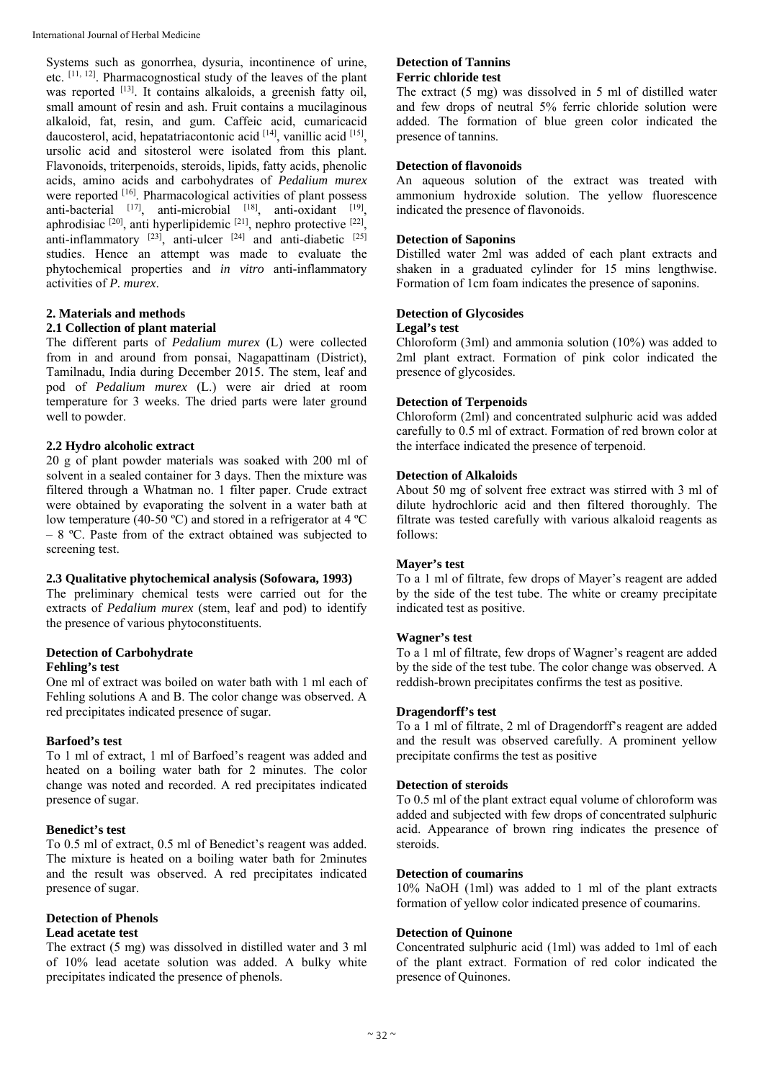Systems such as gonorrhea, dysuria, incontinence of urine, etc. [11, 12]. Pharmacognostical study of the leaves of the plant was reported [13]. It contains alkaloids, a greenish fatty oil, small amount of resin and ash. Fruit contains a mucilaginous alkaloid, fat, resin, and gum. Caffeic acid, cumaricacid daucosterol, acid, hepatatriacontonic acid [14], vanillic acid [15], ursolic acid and sitosterol were isolated from this plant. Flavonoids, triterpenoids, steroids, lipids, fatty acids, phenolic acids, amino acids and carbohydrates of *Pedalium murex* were reported [16]. Pharmacological activities of plant possess anti-bacterial  $[17]$ , anti-microbial  $[18]$ , anti-oxidant  $[19]$ , aphrodisiac  $[20]$ , anti hyperlipidemic  $[21]$ , nephro protective  $[22]$ , anti-inflammatory  $[23]$ , anti-ulcer  $[24]$  and anti-diabetic  $[25]$ studies. Hence an attempt was made to evaluate the phytochemical properties and *in vitro* anti-inflammatory activities of *P. murex*.

## **2. Materials and methods**

### **2.1 Collection of plant material**

The different parts of *Pedalium murex* (L) were collected from in and around from ponsai, Nagapattinam (District), Tamilnadu, India during December 2015. The stem, leaf and pod of *Pedalium murex* (L.) were air dried at room temperature for 3 weeks. The dried parts were later ground well to powder.

### **2.2 Hydro alcoholic extract**

20 g of plant powder materials was soaked with 200 ml of solvent in a sealed container for 3 days. Then the mixture was filtered through a Whatman no. 1 filter paper. Crude extract were obtained by evaporating the solvent in a water bath at low temperature (40-50 ºC) and stored in a refrigerator at 4 ºC – 8 ºC. Paste from of the extract obtained was subjected to screening test.

#### **2.3 Qualitative phytochemical analysis (Sofowara, 1993)**

The preliminary chemical tests were carried out for the extracts of *Pedalium murex* (stem, leaf and pod) to identify the presence of various phytoconstituents.

### **Detection of Carbohydrate**

### **Fehling's test**

One ml of extract was boiled on water bath with 1 ml each of Fehling solutions A and B. The color change was observed. A red precipitates indicated presence of sugar.

#### **Barfoed's test**

To 1 ml of extract, 1 ml of Barfoed's reagent was added and heated on a boiling water bath for 2 minutes. The color change was noted and recorded. A red precipitates indicated presence of sugar.

#### **Benedict's test**

To 0.5 ml of extract, 0.5 ml of Benedict's reagent was added. The mixture is heated on a boiling water bath for 2minutes and the result was observed. A red precipitates indicated presence of sugar.

#### **Detection of Phenols Lead acetate test**

The extract (5 mg) was dissolved in distilled water and 3 ml of 10% lead acetate solution was added. A bulky white precipitates indicated the presence of phenols.

#### **Detection of Tannins Ferric chloride test**

The extract (5 mg) was dissolved in 5 ml of distilled water and few drops of neutral 5% ferric chloride solution were added. The formation of blue green color indicated the presence of tannins.

### **Detection of flavonoids**

An aqueous solution of the extract was treated with ammonium hydroxide solution. The yellow fluorescence indicated the presence of flavonoids.

### **Detection of Saponins**

Distilled water 2ml was added of each plant extracts and shaken in a graduated cylinder for 15 mins lengthwise. Formation of 1cm foam indicates the presence of saponins.

### **Detection of Glycosides**

### **Legal's test**

Chloroform (3ml) and ammonia solution (10%) was added to 2ml plant extract. Formation of pink color indicated the presence of glycosides.

### **Detection of Terpenoids**

Chloroform (2ml) and concentrated sulphuric acid was added carefully to 0.5 ml of extract. Formation of red brown color at the interface indicated the presence of terpenoid.

### **Detection of Alkaloids**

About 50 mg of solvent free extract was stirred with 3 ml of dilute hydrochloric acid and then filtered thoroughly. The filtrate was tested carefully with various alkaloid reagents as follows:

### **Mayer's test**

To a 1 ml of filtrate, few drops of Mayer's reagent are added by the side of the test tube. The white or creamy precipitate indicated test as positive.

### **Wagner's test**

To a 1 ml of filtrate, few drops of Wagner's reagent are added by the side of the test tube. The color change was observed. A reddish-brown precipitates confirms the test as positive.

### **Dragendorff's test**

To a 1 ml of filtrate, 2 ml of Dragendorff's reagent are added and the result was observed carefully. A prominent yellow precipitate confirms the test as positive

### **Detection of steroids**

To 0.5 ml of the plant extract equal volume of chloroform was added and subjected with few drops of concentrated sulphuric acid. Appearance of brown ring indicates the presence of steroids.

#### **Detection of coumarins**

10% NaOH (1ml) was added to 1 ml of the plant extracts formation of yellow color indicated presence of coumarins.

### **Detection of Quinone**

Concentrated sulphuric acid (1ml) was added to 1ml of each of the plant extract. Formation of red color indicated the presence of Quinones.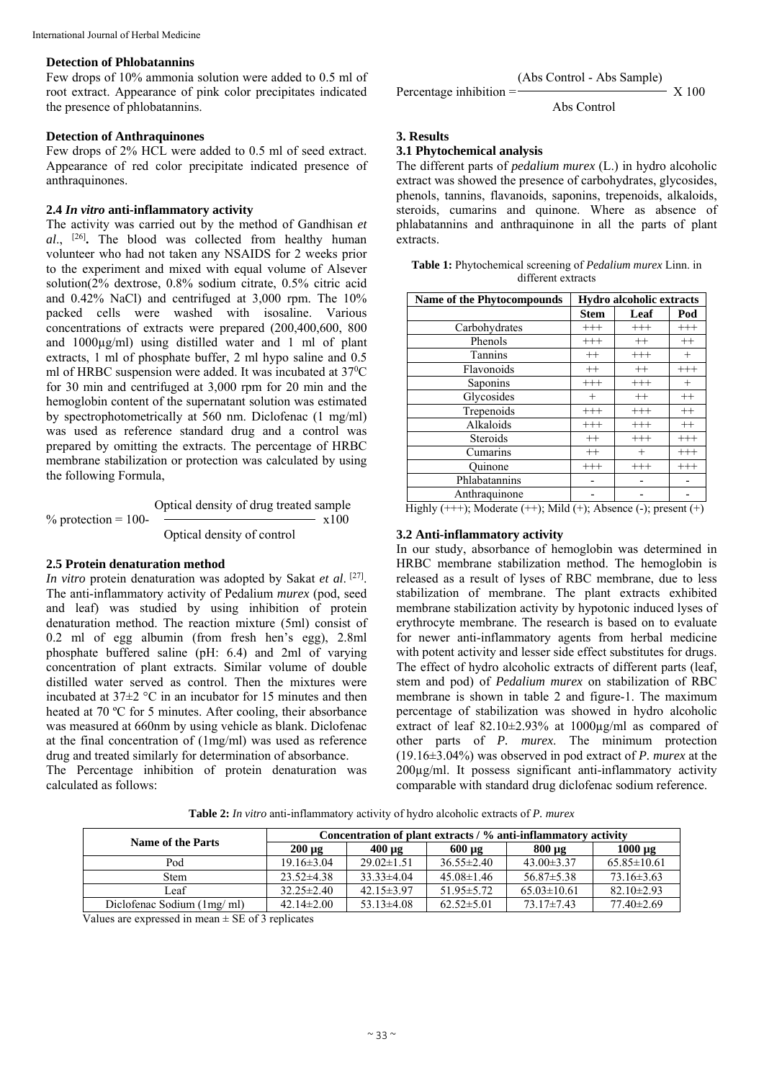#### **Detection of Phlobatannins**

Few drops of 10% ammonia solution were added to 0.5 ml of root extract. Appearance of pink color precipitates indicated the presence of phlobatannins.

#### **Detection of Anthraquinones**

Few drops of 2% HCL were added to 0.5 ml of seed extract. Appearance of red color precipitate indicated presence of anthraquinones.

#### **2.4** *In vitro* **anti-inflammatory activity**

The activity was carried out by the method of Gandhisan *et al*., [26]**.** The blood was collected from healthy human volunteer who had not taken any NSAIDS for 2 weeks prior to the experiment and mixed with equal volume of Alsever solution(2% dextrose, 0.8% sodium citrate, 0.5% citric acid and 0.42% NaCl) and centrifuged at 3,000 rpm. The 10% packed cells were washed with isosaline. Various concentrations of extracts were prepared (200,400,600, 800 and 1000µg/ml) using distilled water and 1 ml of plant extracts, 1 ml of phosphate buffer, 2 ml hypo saline and 0.5 ml of HRBC suspension were added. It was incubated at 37<sup>0</sup>C for 30 min and centrifuged at 3,000 rpm for 20 min and the hemoglobin content of the supernatant solution was estimated by spectrophotometrically at 560 nm. Diclofenac (1 mg/ml) was used as reference standard drug and a control was prepared by omitting the extracts. The percentage of HRBC membrane stabilization or protection was calculated by using the following Formula,

$$
\%\ \text{protein} = 100 - \overbrace{\text{Optical density of drug treated sample}}^{\text{Optical density of drug treated sample}} \times 100
$$

#### **2.5 Protein denaturation method**

*In vitro* protein denaturation was adopted by Sakat *et al*. [27]. The anti-inflammatory activity of Pedalium *murex* (pod, seed and leaf) was studied by using inhibition of protein denaturation method. The reaction mixture (5ml) consist of 0.2 ml of egg albumin (from fresh hen's egg), 2.8ml phosphate buffered saline (pH: 6.4) and 2ml of varying concentration of plant extracts. Similar volume of double distilled water served as control. Then the mixtures were incubated at  $37\pm2$  °C in an incubator for 15 minutes and then heated at 70 °C for 5 minutes. After cooling, their absorbance was measured at 660nm by using vehicle as blank. Diclofenac at the final concentration of (1mg/ml) was used as reference drug and treated similarly for determination of absorbance.

The Percentage inhibition of protein denaturation was calculated as follows:

(Abs Control - Abs Sample)

Percentage inhibition  $=-$  X 100

Abs Control

**3. Results** 

### **3.1 Phytochemical analysis**

The different parts of *pedalium murex* (L.) in hydro alcoholic extract was showed the presence of carbohydrates, glycosides, phenols, tannins, flavanoids, saponins, trepenoids, alkaloids, steroids, cumarins and quinone. Where as absence of phlabatannins and anthraquinone in all the parts of plant extracts.

| Table 1: Phytochemical screening of Pedalium murex Linn. in |  |
|-------------------------------------------------------------|--|
| different extracts                                          |  |

| <b>Name of the Phytocompounds</b> | Hydro alcoholic extracts |          |          |
|-----------------------------------|--------------------------|----------|----------|
|                                   | <b>Stem</b>              | Leaf     | Pod      |
| Carbohydrates                     | $^{+++}$                 | $^{+++}$ | $^{+++}$ |
| Phenols                           | $+++$                    | $++$     | $++$     |
| Tannins                           | $++$                     | $+++$    | $^{+}$   |
| Flavonoids                        | $^{++}$                  | $^{++}$  | $^{+++}$ |
| Saponins                          | $+++$                    | $+++$    | $+$      |
| Glycosides                        | $^{+}$                   | $++$     | $^{++}$  |
| Trepenoids                        | $^{+++}$                 | $+++$    | $++$     |
| Alkaloids                         | $+++$                    | $^{+++}$ | $++$     |
| Steroids                          | $++$                     | $^{+++}$ | $^{+++}$ |
| Cumarins                          | $++$                     | $+$      | $^{+++}$ |
| Ouinone                           | $^{+++}$                 | $^{+++}$ | $^{+++}$ |
| Phlabatannins                     |                          |          |          |
| Anthraquinone                     |                          |          |          |

Highly  $(++)$ ; Moderate  $(++)$ ; Mild  $(+)$ ; Absence  $(-)$ ; present  $(+)$ 

#### **3.2 Anti-inflammatory activity**

In our study, absorbance of hemoglobin was determined in HRBC membrane stabilization method. The hemoglobin is released as a result of lyses of RBC membrane, due to less stabilization of membrane. The plant extracts exhibited membrane stabilization activity by hypotonic induced lyses of erythrocyte membrane. The research is based on to evaluate for newer anti-inflammatory agents from herbal medicine with potent activity and lesser side effect substitutes for drugs. The effect of hydro alcoholic extracts of different parts (leaf, stem and pod) of *Pedalium murex* on stabilization of RBC membrane is shown in table 2 and figure-1. The maximum percentage of stabilization was showed in hydro alcoholic extract of leaf 82.10±2.93% at 1000µg/ml as compared of other parts of *P. murex*. The minimum protection (19.16±3.04%) was observed in pod extract of *P. murex* at the 200µg/ml. It possess significant anti-inflammatory activity comparable with standard drug diclofenac sodium reference.

**Table 2:** *In vitro* anti-inflammatory activity of hydro alcoholic extracts of *P. murex*

| Name of the Parts          |                  | Concentration of plant extracts / % anti-inflammatory activity |                  |                   |                   |
|----------------------------|------------------|----------------------------------------------------------------|------------------|-------------------|-------------------|
|                            | $200 \mu g$      | $400 \text{ µg}$                                               | $600 \mu g$      | $800 \mu g$       | $1000 \mu g$      |
| Pod                        | $19.16 \pm 3.04$ | $29.02\pm1.51$                                                 | $36.55 \pm 2.40$ | $43.00 \pm 3.37$  | $65.85 \pm 10.61$ |
| <b>Stem</b>                | $23.52\pm4.38$   | $33.33\pm4.04$                                                 | $45.08\pm1.46$   | $56.87 \pm 5.38$  | $73.16 \pm 3.63$  |
| Leaf                       | $32.25 \pm 2.40$ | $42.15 \pm 3.97$                                               | $51.95 \pm 5.72$ | $65.03 \pm 10.61$ | $82.10 \pm 2.93$  |
| Diclofenac Sodium (1mg/ml) | $42.14 \pm 2.00$ | $53.13\pm4.08$                                                 | $62.52\pm5.01$   | $73.17 \pm 7.43$  | $77.40 \pm 2.69$  |

Values are expressed in mean  $\pm$  SE of 3 replicates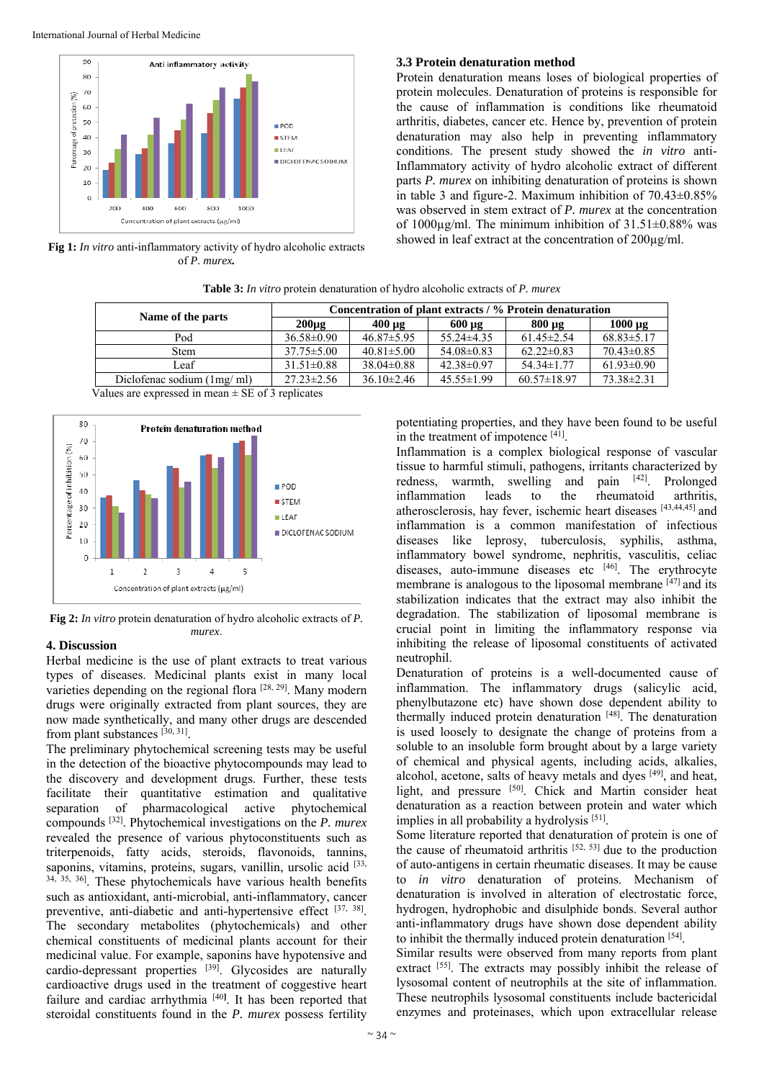

**Fig 1:** *In vitro* anti-inflammatory activity of hydro alcoholic extracts of *P. murex.*

#### **3.3 Protein denaturation method**

Protein denaturation means loses of biological properties of protein molecules. Denaturation of proteins is responsible for the cause of inflammation is conditions like rheumatoid arthritis, diabetes, cancer etc. Hence by, prevention of protein denaturation may also help in preventing inflammatory conditions. The present study showed the *in vitro* anti-Inflammatory activity of hydro alcoholic extract of different parts *P. murex* on inhibiting denaturation of proteins is shown in table 3 and figure-2. Maximum inhibition of 70.43±0.85% was observed in stem extract of *P. murex* at the concentration of 1000 $\mu$ g/ml. The minimum inhibition of 31.51 $\pm$ 0.88% was showed in leaf extract at the concentration of  $200\mu\text{g/ml}$ .

**Table 3:** *In vitro* protein denaturation of hydro alcoholic extracts of *P. murex* 

| Name of the parts          | Concentration of plant extracts / % Protein denaturation |                  |                  |                   |                  |
|----------------------------|----------------------------------------------------------|------------------|------------------|-------------------|------------------|
|                            | $200\mu$ g                                               | $400 \text{ µg}$ | $600 \mu g$      | $800 \mu g$       | $1000 \mu g$     |
| Pod                        | $36.58 \pm 0.90$                                         | $46.87 \pm 5.95$ | $55.24\pm4.35$   | $61.45 \pm 2.54$  | $68.83 \pm 5.17$ |
| <b>Stem</b>                | $37.75 \pm 5.00$                                         | $40.81 \pm 5.00$ | $54.08\pm0.83$   | $62.22 \pm 0.83$  | $70.43 \pm 0.85$ |
| Leaf                       | $31.51 \pm 0.88$                                         | $38.04\pm0.88$   | $42.38 \pm 0.97$ | $54.34 \pm 1.77$  | $61.93 \pm 0.90$ |
| Diclofenac sodium (1mg/ml) | $27.23 \pm 2.56$                                         | $36.10\pm2.46$   | $45.55 \pm 1.99$ | $60.57 \pm 18.97$ | $73.38 \pm 2.31$ |

Values are expressed in mean  $\pm$  SE of 3 replicates



**Fig 2:** *In vitro* protein denaturation of hydro alcoholic extracts of *P. murex*.

#### **4. Discussion**

Herbal medicine is the use of plant extracts to treat various types of diseases. Medicinal plants exist in many local varieties depending on the regional flora [28, 29]. Many modern drugs were originally extracted from plant sources, they are now made synthetically, and many other drugs are descended from plant substances [30, 31].

The preliminary phytochemical screening tests may be useful in the detection of the bioactive phytocompounds may lead to the discovery and development drugs. Further, these tests facilitate their quantitative estimation and qualitative separation of pharmacological active phytochemical compounds [32]. Phytochemical investigations on the *P. murex* revealed the presence of various phytoconstituents such as triterpenoids, fatty acids, steroids, flavonoids, tannins, saponins, vitamins, proteins, sugars, vanillin, ursolic acid [33, 34, 35, 36]. These phytochemicals have various health benefits such as antioxidant, anti-microbial, anti-inflammatory, cancer preventive, anti-diabetic and anti-hypertensive effect [37, 38]. The secondary metabolites (phytochemicals) and other chemical constituents of medicinal plants account for their medicinal value. For example, saponins have hypotensive and cardio-depressant properties [39]. Glycosides are naturally cardioactive drugs used in the treatment of coggestive heart failure and cardiac arrhythmia [40**]** . It has been reported that steroidal constituents found in the *P. murex* possess fertility

potentiating properties, and they have been found to be useful in the treatment of impotence [41].

Inflammation is a complex biological response of vascular tissue to harmful stimuli, pathogens, irritants characterized by redness, warmth, swelling and pain [42]. Prolonged inflammation leads to the rheumatoid arthritis, atherosclerosis, hay fever, ischemic heart diseases [43,44,45] and inflammation is a common manifestation of infectious diseases like leprosy, tuberculosis, syphilis, asthma, inflammatory bowel syndrome, nephritis, vasculitis, celiac diseases, auto-immune diseases etc [46]. The erythrocyte membrane is analogous to the liposomal membrane [47] and its stabilization indicates that the extract may also inhibit the degradation. The stabilization of liposomal membrane is crucial point in limiting the inflammatory response via inhibiting the release of liposomal constituents of activated neutrophil.

Denaturation of proteins is a well-documented cause of inflammation. The inflammatory drugs (salicylic acid, phenylbutazone etc) have shown dose dependent ability to thermally induced protein denaturation [48]. The denaturation is used loosely to designate the change of proteins from a soluble to an insoluble form brought about by a large variety of chemical and physical agents, including acids, alkalies, alcohol, acetone, salts of heavy metals and dyes [49], and heat, light, and pressure [50]. Chick and Martin consider heat denaturation as a reaction between protein and water which implies in all probability a hydrolysis [51].

Some literature reported that denaturation of protein is one of the cause of rheumatoid arthritis  $[52, 53]$  due to the production of auto-antigens in certain rheumatic diseases. It may be cause to *in vitro* denaturation of proteins. Mechanism of denaturation is involved in alteration of electrostatic force, hydrogen, hydrophobic and disulphide bonds. Several author anti-inflammatory drugs have shown dose dependent ability to inhibit the thermally induced protein denaturation [54].

Similar results were observed from many reports from plant extract [55]. The extracts may possibly inhibit the release of lysosomal content of neutrophils at the site of inflammation. These neutrophils lysosomal constituents include bactericidal enzymes and proteinases, which upon extracellular release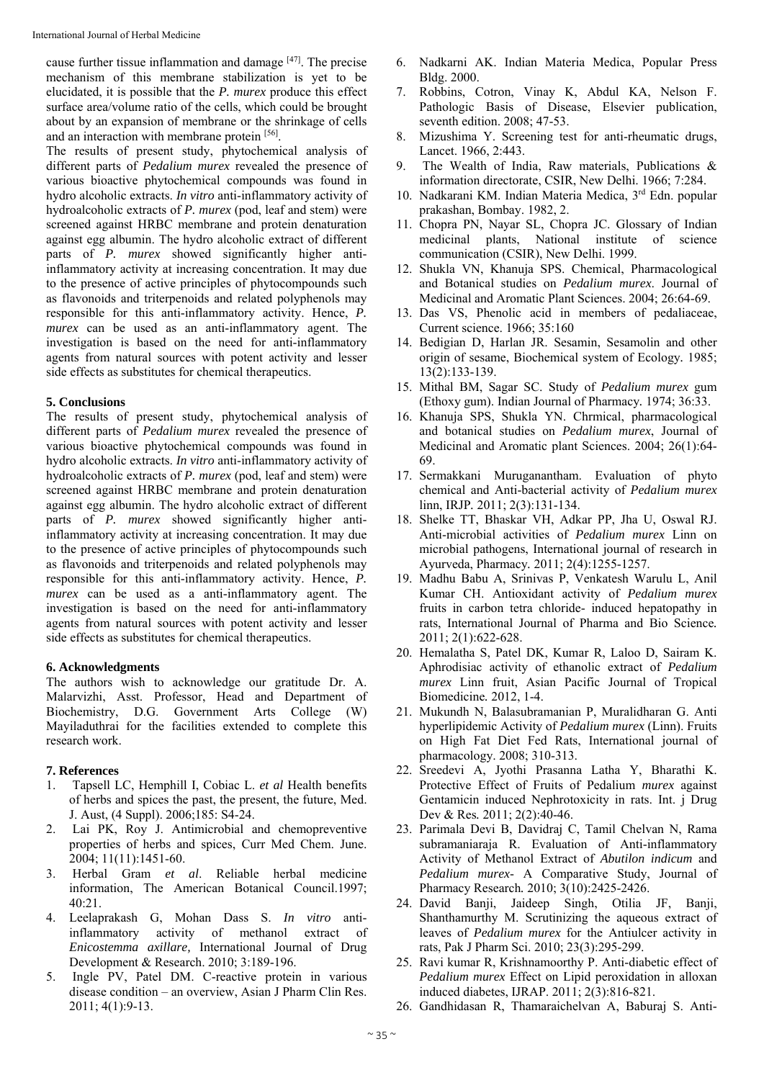cause further tissue inflammation and damage [47]. The precise mechanism of this membrane stabilization is yet to be elucidated, it is possible that the *P. murex* produce this effect surface area/volume ratio of the cells, which could be brought about by an expansion of membrane or the shrinkage of cells and an interaction with membrane protein [56].

The results of present study, phytochemical analysis of different parts of *Pedalium murex* revealed the presence of various bioactive phytochemical compounds was found in hydro alcoholic extracts. *In vitro* anti-inflammatory activity of hydroalcoholic extracts of *P. murex* (pod, leaf and stem) were screened against HRBC membrane and protein denaturation against egg albumin. The hydro alcoholic extract of different parts of *P. murex* showed significantly higher antiinflammatory activity at increasing concentration. It may due to the presence of active principles of phytocompounds such as flavonoids and triterpenoids and related polyphenols may responsible for this anti-inflammatory activity. Hence, *P. murex* can be used as an anti-inflammatory agent. The investigation is based on the need for anti-inflammatory agents from natural sources with potent activity and lesser side effects as substitutes for chemical therapeutics.

#### **5. Conclusions**

The results of present study, phytochemical analysis of different parts of *Pedalium murex* revealed the presence of various bioactive phytochemical compounds was found in hydro alcoholic extracts. *In vitro* anti-inflammatory activity of hydroalcoholic extracts of *P. murex* (pod, leaf and stem) were screened against HRBC membrane and protein denaturation against egg albumin. The hydro alcoholic extract of different parts of *P. murex* showed significantly higher antiinflammatory activity at increasing concentration. It may due to the presence of active principles of phytocompounds such as flavonoids and triterpenoids and related polyphenols may responsible for this anti-inflammatory activity. Hence, *P. murex* can be used as a anti-inflammatory agent. The investigation is based on the need for anti-inflammatory agents from natural sources with potent activity and lesser side effects as substitutes for chemical therapeutics.

#### **6. Acknowledgments**

The authors wish to acknowledge our gratitude Dr. A. Malarvizhi, Asst. Professor, Head and Department of Biochemistry, D.G. Government Arts College (W) Mayiladuthrai for the facilities extended to complete this research work.

#### **7. References**

- 1. Tapsell LC, Hemphill I, Cobiac L. *et al* Health benefits of herbs and spices the past, the present, the future, Med. J. Aust, (4 Suppl). 2006;185: S4-24.
- 2. Lai PK, Roy J. Antimicrobial and chemopreventive properties of herbs and spices, Curr Med Chem. June. 2004; 11(11):1451-60.
- 3. Herbal Gram *et al*. Reliable herbal medicine information, The American Botanical Council.1997; 40:21.
- 4. Leelaprakash G, Mohan Dass S. *In vitro* antiinflammatory activity of methanol extract of *Enicostemma axillare,* International Journal of Drug Development & Research. 2010; 3:189-196.
- 5. Ingle PV, Patel DM. C-reactive protein in various disease condition – an overview, Asian J Pharm Clin Res. 2011; 4(1):9-13.
- 6. Nadkarni AK. Indian Materia Medica, Popular Press Bldg. 2000.
- 7. Robbins, Cotron, Vinay K, Abdul KA, Nelson F. Pathologic Basis of Disease, Elsevier publication, seventh edition. 2008; 47-53.
- 8. Mizushima Y. Screening test for anti-rheumatic drugs, Lancet. 1966, 2:443.
- 9. The Wealth of India, Raw materials, Publications & information directorate, CSIR, New Delhi. 1966; 7:284.
- 10. Nadkarani KM. Indian Materia Medica, 3rd Edn. popular prakashan, Bombay. 1982, 2.
- 11. Chopra PN, Nayar SL, Chopra JC. Glossary of Indian medicinal plants, National institute of science communication (CSIR), New Delhi. 1999.
- 12. Shukla VN, Khanuja SPS. Chemical, Pharmacological and Botanical studies on *Pedalium murex*. Journal of Medicinal and Aromatic Plant Sciences. 2004; 26:64-69.
- 13. Das VS, Phenolic acid in members of pedaliaceae, Current science. 1966; 35:160
- 14. Bedigian D, Harlan JR. Sesamin, Sesamolin and other origin of sesame, Biochemical system of Ecology*.* 1985; 13(2):133-139.
- 15. Mithal BM, Sagar SC. Study of *Pedalium murex* gum (Ethoxy gum). Indian Journal of Pharmacy*.* 1974; 36:33.
- 16. Khanuja SPS, Shukla YN. Chrmical, pharmacological and botanical studies on *Pedalium murex*, Journal of Medicinal and Aromatic plant Sciences. 2004; 26(1):64- 69.
- 17. Sermakkani Muruganantham. Evaluation of phyto chemical and Anti-bacterial activity of *Pedalium murex*  linn, IRJP*.* 2011; 2(3):131-134.
- 18. Shelke TT, Bhaskar VH, Adkar PP, Jha U, Oswal RJ. Anti-microbial activities of *Pedalium murex* Linn on microbial pathogens, International journal of research in Ayurveda, Pharmacy*.* 2011; 2(4):1255-1257.
- 19. Madhu Babu A, Srinivas P, Venkatesh Warulu L, Anil Kumar CH. Antioxidant activity of *Pedalium murex* fruits in carbon tetra chloride- induced hepatopathy in rats, International Journal of Pharma and Bio Science*.*  2011; 2(1):622-628.
- 20. Hemalatha S, Patel DK, Kumar R, Laloo D, Sairam K. Aphrodisiac activity of ethanolic extract of *Pedalium murex* Linn fruit, Asian Pacific Journal of Tropical Biomedicine*.* 2012, 1-4.
- 21. Mukundh N, Balasubramanian P, Muralidharan G. Anti hyperlipidemic Activity of *Pedalium murex* (Linn). Fruits on High Fat Diet Fed Rats, International journal of pharmacology. 2008; 310-313.
- 22. Sreedevi A, Jyothi Prasanna Latha Y, Bharathi K. Protective Effect of Fruits of Pedalium *murex* against Gentamicin induced Nephrotoxicity in rats. Int. j Drug Dev & Res*.* 2011; 2(2):40-46.
- 23. Parimala Devi B, Davidraj C, Tamil Chelvan N, Rama subramaniaraja R. Evaluation of Anti-inflammatory Activity of Methanol Extract of *Abutilon indicum* and *Pedalium murex*- A Comparative Study, Journal of Pharmacy Research*.* 2010; 3(10):2425-2426.
- 24. David Banji, Jaideep Singh, Otilia JF, Banji, Shanthamurthy M. Scrutinizing the aqueous extract of leaves of *Pedalium murex* for the Antiulcer activity in rats, Pak J Pharm Sci. 2010; 23(3):295-299.
- 25. Ravi kumar R, Krishnamoorthy P. Anti-diabetic effect of *Pedalium murex* Effect on Lipid peroxidation in alloxan induced diabetes, IJRAP. 2011; 2(3):816-821.
- 26. Gandhidasan R, Thamaraichelvan A, Baburaj S. Anti-